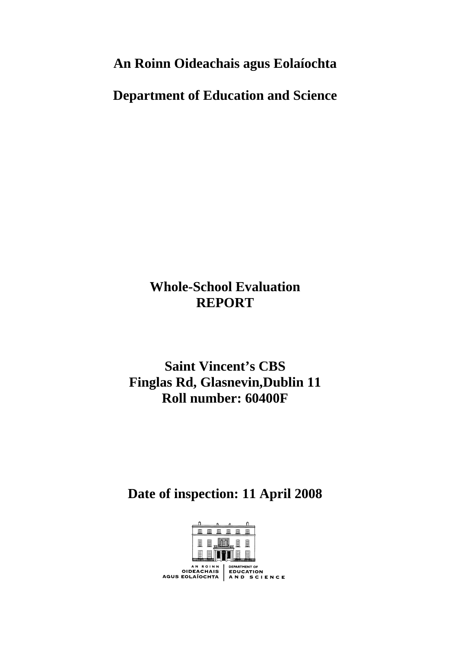**An Roinn Oideachais agus Eolaíochta** 

**Department of Education and Science** 

# **Whole-School Evaluation REPORT**

**Saint Vincent's CBS Finglas Rd, Glasnevin,Dublin 11 Roll number: 60400F** 

# **Date of inspection: 11 April 2008**

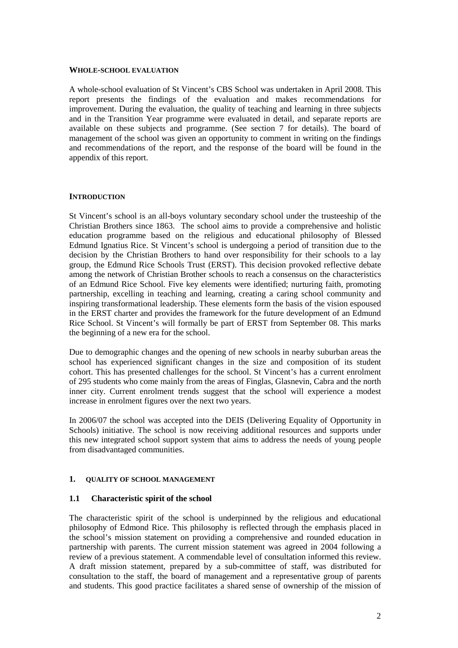#### **WHOLE-SCHOOL EVALUATION**

A whole-school evaluation of St Vincent's CBS School was undertaken in April 2008. This report presents the findings of the evaluation and makes recommendations for improvement. During the evaluation, the quality of teaching and learning in three subjects and in the Transition Year programme were evaluated in detail, and separate reports are available on these subjects and programme. (See section 7 for details). The board of management of the school was given an opportunity to comment in writing on the findings and recommendations of the report, and the response of the board will be found in the appendix of this report.

#### **INTRODUCTION**

St Vincent's school is an all-boys voluntary secondary school under the trusteeship of the Christian Brothers since 1863. The school aims to provide a comprehensive and holistic education programme based on the religious and educational philosophy of Blessed Edmund Ignatius Rice. St Vincent's school is undergoing a period of transition due to the decision by the Christian Brothers to hand over responsibility for their schools to a lay group, the Edmund Rice Schools Trust (ERST). This decision provoked reflective debate among the network of Christian Brother schools to reach a consensus on the characteristics of an Edmund Rice School. Five key elements were identified; nurturing faith, promoting partnership, excelling in teaching and learning, creating a caring school community and inspiring transformational leadership. These elements form the basis of the vision espoused in the ERST charter and provides the framework for the future development of an Edmund Rice School. St Vincent's will formally be part of ERST from September 08. This marks the beginning of a new era for the school.

Due to demographic changes and the opening of new schools in nearby suburban areas the school has experienced significant changes in the size and composition of its student cohort. This has presented challenges for the school. St Vincent's has a current enrolment of 295 students who come mainly from the areas of Finglas, Glasnevin, Cabra and the north inner city. Current enrolment trends suggest that the school will experience a modest increase in enrolment figures over the next two years.

In 2006/07 the school was accepted into the DEIS (Delivering Equality of Opportunity in Schools) initiative. The school is now receiving additional resources and supports under this new integrated school support system that aims to address the needs of young people from disadvantaged communities.

#### **1. QUALITY OF SCHOOL MANAGEMENT**

#### **1.1 Characteristic spirit of the school**

The characteristic spirit of the school is underpinned by the religious and educational philosophy of Edmond Rice. This philosophy is reflected through the emphasis placed in the school's mission statement on providing a comprehensive and rounded education in partnership with parents. The current mission statement was agreed in 2004 following a review of a previous statement. A commendable level of consultation informed this review. A draft mission statement, prepared by a sub-committee of staff, was distributed for consultation to the staff, the board of management and a representative group of parents and students. This good practice facilitates a shared sense of ownership of the mission of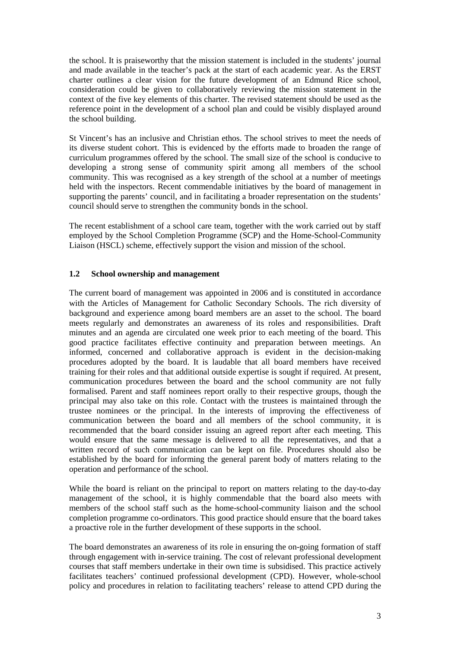the school. It is praiseworthy that the mission statement is included in the students' journal and made available in the teacher's pack at the start of each academic year. As the ERST charter outlines a clear vision for the future development of an Edmund Rice school, consideration could be given to collaboratively reviewing the mission statement in the context of the five key elements of this charter. The revised statement should be used as the reference point in the development of a school plan and could be visibly displayed around the school building.

St Vincent's has an inclusive and Christian ethos. The school strives to meet the needs of its diverse student cohort. This is evidenced by the efforts made to broaden the range of curriculum programmes offered by the school. The small size of the school is conducive to developing a strong sense of community spirit among all members of the school community. This was recognised as a key strength of the school at a number of meetings held with the inspectors. Recent commendable initiatives by the board of management in supporting the parents' council, and in facilitating a broader representation on the students' council should serve to strengthen the community bonds in the school.

The recent establishment of a school care team, together with the work carried out by staff employed by the School Completion Programme (SCP) and the Home-School-Community Liaison (HSCL) scheme, effectively support the vision and mission of the school.

#### **1.2 School ownership and management**

The current board of management was appointed in 2006 and is constituted in accordance with the Articles of Management for Catholic Secondary Schools. The rich diversity of background and experience among board members are an asset to the school. The board meets regularly and demonstrates an awareness of its roles and responsibilities. Draft minutes and an agenda are circulated one week prior to each meeting of the board. This good practice facilitates effective continuity and preparation between meetings. An informed, concerned and collaborative approach is evident in the decision-making procedures adopted by the board. It is laudable that all board members have received training for their roles and that additional outside expertise is sought if required. At present, communication procedures between the board and the school community are not fully formalised. Parent and staff nominees report orally to their respective groups, though the principal may also take on this role. Contact with the trustees is maintained through the trustee nominees or the principal. In the interests of improving the effectiveness of communication between the board and all members of the school community, it is recommended that the board consider issuing an agreed report after each meeting. This would ensure that the same message is delivered to all the representatives, and that a written record of such communication can be kept on file. Procedures should also be established by the board for informing the general parent body of matters relating to the operation and performance of the school.

While the board is reliant on the principal to report on matters relating to the day-to-day management of the school, it is highly commendable that the board also meets with members of the school staff such as the home-school-community liaison and the school completion programme co-ordinators. This good practice should ensure that the board takes a proactive role in the further development of these supports in the school.

The board demonstrates an awareness of its role in ensuring the on-going formation of staff through engagement with in-service training. The cost of relevant professional development courses that staff members undertake in their own time is subsidised. This practice actively facilitates teachers' continued professional development (CPD). However, whole-school policy and procedures in relation to facilitating teachers' release to attend CPD during the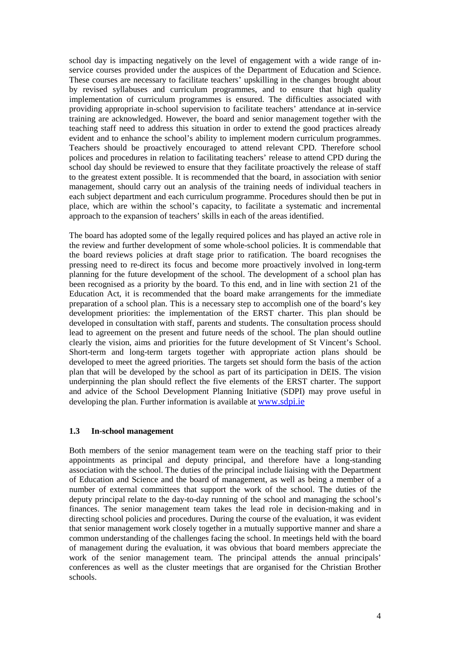school day is impacting negatively on the level of engagement with a wide range of inservice courses provided under the auspices of the Department of Education and Science. These courses are necessary to facilitate teachers' upskilling in the changes brought about by revised syllabuses and curriculum programmes, and to ensure that high quality implementation of curriculum programmes is ensured. The difficulties associated with providing appropriate in-school supervision to facilitate teachers' attendance at in-service training are acknowledged. However, the board and senior management together with the teaching staff need to address this situation in order to extend the good practices already evident and to enhance the school's ability to implement modern curriculum programmes. Teachers should be proactively encouraged to attend relevant CPD. Therefore school polices and procedures in relation to facilitating teachers' release to attend CPD during the school day should be reviewed to ensure that they facilitate proactively the release of staff to the greatest extent possible. It is recommended that the board, in association with senior management, should carry out an analysis of the training needs of individual teachers in each subject department and each curriculum programme. Procedures should then be put in place, which are within the school's capacity, to facilitate a systematic and incremental approach to the expansion of teachers' skills in each of the areas identified.

The board has adopted some of the legally required polices and has played an active role in the review and further development of some whole-school policies. It is commendable that the board reviews policies at draft stage prior to ratification. The board recognises the pressing need to re-direct its focus and become more proactively involved in long-term planning for the future development of the school. The development of a school plan has been recognised as a priority by the board. To this end, and in line with section 21 of the Education Act, it is recommended that the board make arrangements for the immediate preparation of a school plan. This is a necessary step to accomplish one of the board's key development priorities: the implementation of the ERST charter. This plan should be developed in consultation with staff, parents and students. The consultation process should lead to agreement on the present and future needs of the school. The plan should outline clearly the vision, aims and priorities for the future development of St Vincent's School. Short-term and long-term targets together with appropriate action plans should be developed to meet the agreed priorities. The targets set should form the basis of the action plan that will be developed by the school as part of its participation in DEIS. The vision underpinning the plan should reflect the five elements of the ERST charter. The support and advice of the School Development Planning Initiative (SDPI) may prove useful in developing the plan. Further information is available at www.sdpi.ie

#### **1.3 In-school management**

Both members of the senior management team were on the teaching staff prior to their appointments as principal and deputy principal, and therefore have a long-standing association with the school. The duties of the principal include liaising with the Department of Education and Science and the board of management, as well as being a member of a number of external committees that support the work of the school. The duties of the deputy principal relate to the day-to-day running of the school and managing the school's finances. The senior management team takes the lead role in decision-making and in directing school policies and procedures. During the course of the evaluation, it was evident that senior management work closely together in a mutually supportive manner and share a common understanding of the challenges facing the school. In meetings held with the board of management during the evaluation, it was obvious that board members appreciate the work of the senior management team. The principal attends the annual principals' conferences as well as the cluster meetings that are organised for the Christian Brother schools.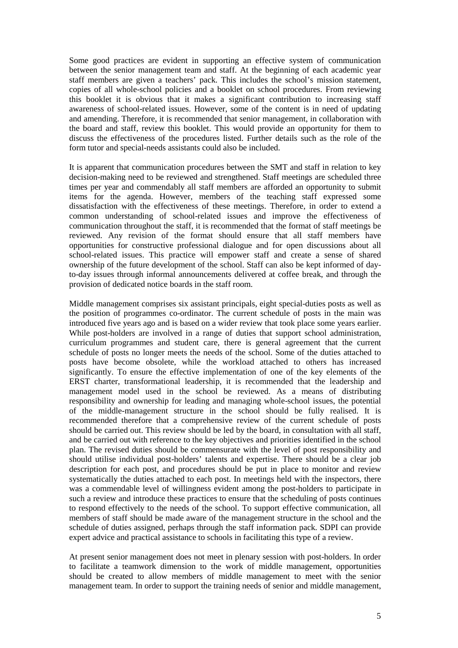Some good practices are evident in supporting an effective system of communication between the senior management team and staff. At the beginning of each academic year staff members are given a teachers' pack. This includes the school's mission statement, copies of all whole-school policies and a booklet on school procedures. From reviewing this booklet it is obvious that it makes a significant contribution to increasing staff awareness of school-related issues. However, some of the content is in need of updating and amending. Therefore, it is recommended that senior management, in collaboration with the board and staff, review this booklet. This would provide an opportunity for them to discuss the effectiveness of the procedures listed. Further details such as the role of the form tutor and special-needs assistants could also be included.

It is apparent that communication procedures between the SMT and staff in relation to key decision-making need to be reviewed and strengthened. Staff meetings are scheduled three times per year and commendably all staff members are afforded an opportunity to submit items for the agenda. However, members of the teaching staff expressed some dissatisfaction with the effectiveness of these meetings. Therefore, in order to extend a common understanding of school-related issues and improve the effectiveness of communication throughout the staff, it is recommended that the format of staff meetings be reviewed. Any revision of the format should ensure that all staff members have opportunities for constructive professional dialogue and for open discussions about all school-related issues. This practice will empower staff and create a sense of shared ownership of the future development of the school. Staff can also be kept informed of dayto-day issues through informal announcements delivered at coffee break, and through the provision of dedicated notice boards in the staff room.

Middle management comprises six assistant principals, eight special-duties posts as well as the position of programmes co-ordinator. The current schedule of posts in the main was introduced five years ago and is based on a wider review that took place some years earlier. While post-holders are involved in a range of duties that support school administration, curriculum programmes and student care, there is general agreement that the current schedule of posts no longer meets the needs of the school. Some of the duties attached to posts have become obsolete, while the workload attached to others has increased significantly. To ensure the effective implementation of one of the key elements of the ERST charter, transformational leadership, it is recommended that the leadership and management model used in the school be reviewed. As a means of distributing responsibility and ownership for leading and managing whole-school issues, the potential of the middle-management structure in the school should be fully realised. It is recommended therefore that a comprehensive review of the current schedule of posts should be carried out. This review should be led by the board, in consultation with all staff, and be carried out with reference to the key objectives and priorities identified in the school plan. The revised duties should be commensurate with the level of post responsibility and should utilise individual post-holders' talents and expertise. There should be a clear job description for each post, and procedures should be put in place to monitor and review systematically the duties attached to each post. In meetings held with the inspectors, there was a commendable level of willingness evident among the post-holders to participate in such a review and introduce these practices to ensure that the scheduling of posts continues to respond effectively to the needs of the school. To support effective communication, all members of staff should be made aware of the management structure in the school and the schedule of duties assigned, perhaps through the staff information pack. SDPI can provide expert advice and practical assistance to schools in facilitating this type of a review.

At present senior management does not meet in plenary session with post-holders. In order to facilitate a teamwork dimension to the work of middle management, opportunities should be created to allow members of middle management to meet with the senior management team. In order to support the training needs of senior and middle management,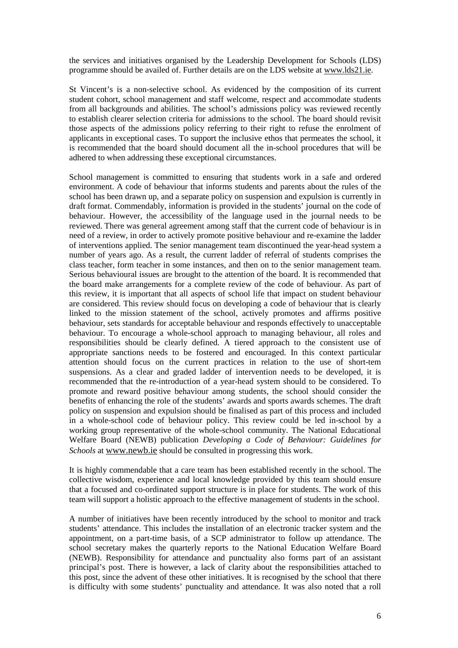the services and initiatives organised by the Leadership Development for Schools (LDS) programme should be availed of. Further details are on the LDS website at www.lds21.ie.

St Vincent's is a non-selective school. As evidenced by the composition of its current student cohort, school management and staff welcome, respect and accommodate students from all backgrounds and abilities. The school's admissions policy was reviewed recently to establish clearer selection criteria for admissions to the school. The board should revisit those aspects of the admissions policy referring to their right to refuse the enrolment of applicants in exceptional cases. To support the inclusive ethos that permeates the school, it is recommended that the board should document all the in-school procedures that will be adhered to when addressing these exceptional circumstances.

School management is committed to ensuring that students work in a safe and ordered environment. A code of behaviour that informs students and parents about the rules of the school has been drawn up, and a separate policy on suspension and expulsion is currently in draft format. Commendably, information is provided in the students' journal on the code of behaviour. However, the accessibility of the language used in the journal needs to be reviewed. There was general agreement among staff that the current code of behaviour is in need of a review, in order to actively promote positive behaviour and re-examine the ladder of interventions applied. The senior management team discontinued the year-head system a number of years ago. As a result, the current ladder of referral of students comprises the class teacher, form teacher in some instances, and then on to the senior management team. Serious behavioural issues are brought to the attention of the board. It is recommended that the board make arrangements for a complete review of the code of behaviour. As part of this review, it is important that all aspects of school life that impact on student behaviour are considered. This review should focus on developing a code of behaviour that is clearly linked to the mission statement of the school, actively promotes and affirms positive behaviour, sets standards for acceptable behaviour and responds effectively to unacceptable behaviour. To encourage a whole-school approach to managing behaviour, all roles and responsibilities should be clearly defined. A tiered approach to the consistent use of appropriate sanctions needs to be fostered and encouraged. In this context particular attention should focus on the current practices in relation to the use of short-tem suspensions. As a clear and graded ladder of intervention needs to be developed, it is recommended that the re-introduction of a year-head system should to be considered. To promote and reward positive behaviour among students, the school should consider the benefits of enhancing the role of the students' awards and sports awards schemes. The draft policy on suspension and expulsion should be finalised as part of this process and included in a whole-school code of behaviour policy. This review could be led in-school by a working group representative of the whole-school community. The National Educational Welfare Board (NEWB) publication *Developing a Code of Behaviour: Guidelines for Schools* at www.newb.ie should be consulted in progressing this work.

It is highly commendable that a care team has been established recently in the school. The collective wisdom, experience and local knowledge provided by this team should ensure that a focused and co-ordinated support structure is in place for students. The work of this team will support a holistic approach to the effective management of students in the school.

A number of initiatives have been recently introduced by the school to monitor and track students' attendance. This includes the installation of an electronic tracker system and the appointment, on a part-time basis, of a SCP administrator to follow up attendance. The school secretary makes the quarterly reports to the National Education Welfare Board (NEWB). Responsibility for attendance and punctuality also forms part of an assistant principal's post. There is however, a lack of clarity about the responsibilities attached to this post, since the advent of these other initiatives. It is recognised by the school that there is difficulty with some students' punctuality and attendance. It was also noted that a roll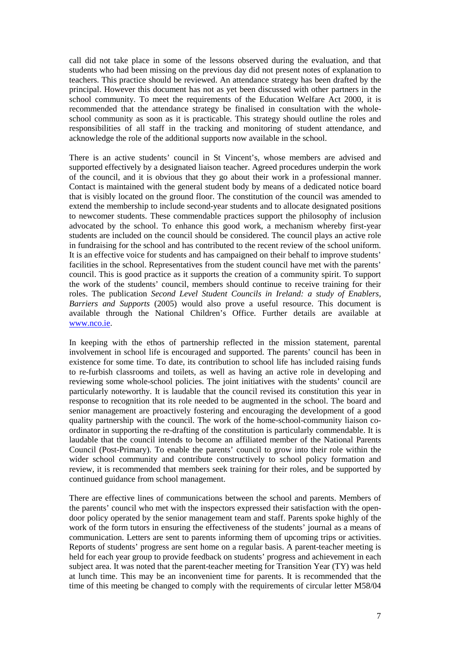call did not take place in some of the lessons observed during the evaluation, and that students who had been missing on the previous day did not present notes of explanation to teachers. This practice should be reviewed. An attendance strategy has been drafted by the principal. However this document has not as yet been discussed with other partners in the school community. To meet the requirements of the Education Welfare Act 2000, it is recommended that the attendance strategy be finalised in consultation with the wholeschool community as soon as it is practicable. This strategy should outline the roles and responsibilities of all staff in the tracking and monitoring of student attendance, and acknowledge the role of the additional supports now available in the school.

There is an active students' council in St Vincent's, whose members are advised and supported effectively by a designated liaison teacher. Agreed procedures underpin the work of the council, and it is obvious that they go about their work in a professional manner. Contact is maintained with the general student body by means of a dedicated notice board that is visibly located on the ground floor. The constitution of the council was amended to extend the membership to include second-year students and to allocate designated positions to newcomer students. These commendable practices support the philosophy of inclusion advocated by the school. To enhance this good work, a mechanism whereby first-year students are included on the council should be considered. The council plays an active role in fundraising for the school and has contributed to the recent review of the school uniform. It is an effective voice for students and has campaigned on their behalf to improve students' facilities in the school. Representatives from the student council have met with the parents' council. This is good practice as it supports the creation of a community spirit. To support the work of the students' council, members should continue to receive training for their roles. The publication *Second Level Student Councils in Ireland: a study of Enablers, Barriers and Supports* (2005) would also prove a useful resource. This document is available through the National Children's Office. Further details are available at www.nco.ie.

In keeping with the ethos of partnership reflected in the mission statement, parental involvement in school life is encouraged and supported. The parents' council has been in existence for some time. To date, its contribution to school life has included raising funds to re-furbish classrooms and toilets, as well as having an active role in developing and reviewing some whole-school policies. The joint initiatives with the students' council are particularly noteworthy. It is laudable that the council revised its constitution this year in response to recognition that its role needed to be augmented in the school. The board and senior management are proactively fostering and encouraging the development of a good quality partnership with the council. The work of the home-school-community liaison coordinator in supporting the re-drafting of the constitution is particularly commendable. It is laudable that the council intends to become an affiliated member of the National Parents Council (Post-Primary). To enable the parents' council to grow into their role within the wider school community and contribute constructively to school policy formation and review, it is recommended that members seek training for their roles, and be supported by continued guidance from school management.

There are effective lines of communications between the school and parents. Members of the parents' council who met with the inspectors expressed their satisfaction with the opendoor policy operated by the senior management team and staff. Parents spoke highly of the work of the form tutors in ensuring the effectiveness of the students' journal as a means of communication. Letters are sent to parents informing them of upcoming trips or activities. Reports of students' progress are sent home on a regular basis. A parent-teacher meeting is held for each year group to provide feedback on students' progress and achievement in each subject area. It was noted that the parent-teacher meeting for Transition Year (TY) was held at lunch time. This may be an inconvenient time for parents. It is recommended that the time of this meeting be changed to comply with the requirements of circular letter M58/04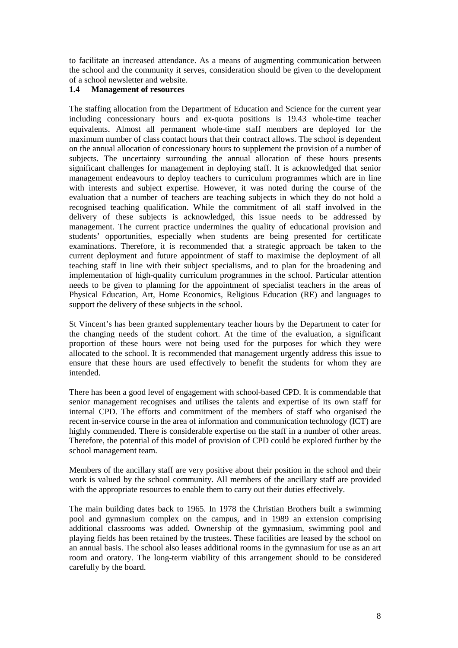to facilitate an increased attendance. As a means of augmenting communication between the school and the community it serves, consideration should be given to the development of a school newsletter and website.

#### **1.4 Management of resources**

The staffing allocation from the Department of Education and Science for the current year including concessionary hours and ex-quota positions is 19.43 whole-time teacher equivalents. Almost all permanent whole-time staff members are deployed for the maximum number of class contact hours that their contract allows. The school is dependent on the annual allocation of concessionary hours to supplement the provision of a number of subjects. The uncertainty surrounding the annual allocation of these hours presents significant challenges for management in deploying staff. It is acknowledged that senior management endeavours to deploy teachers to curriculum programmes which are in line with interests and subject expertise. However, it was noted during the course of the evaluation that a number of teachers are teaching subjects in which they do not hold a recognised teaching qualification. While the commitment of all staff involved in the delivery of these subjects is acknowledged, this issue needs to be addressed by management. The current practice undermines the quality of educational provision and students' opportunities, especially when students are being presented for certificate examinations. Therefore, it is recommended that a strategic approach be taken to the current deployment and future appointment of staff to maximise the deployment of all teaching staff in line with their subject specialisms, and to plan for the broadening and implementation of high-quality curriculum programmes in the school. Particular attention needs to be given to planning for the appointment of specialist teachers in the areas of Physical Education, Art, Home Economics, Religious Education (RE) and languages to support the delivery of these subjects in the school.

St Vincent's has been granted supplementary teacher hours by the Department to cater for the changing needs of the student cohort. At the time of the evaluation, a significant proportion of these hours were not being used for the purposes for which they were allocated to the school. It is recommended that management urgently address this issue to ensure that these hours are used effectively to benefit the students for whom they are intended.

There has been a good level of engagement with school-based CPD. It is commendable that senior management recognises and utilises the talents and expertise of its own staff for internal CPD. The efforts and commitment of the members of staff who organised the recent in-service course in the area of information and communication technology (ICT) are highly commended. There is considerable expertise on the staff in a number of other areas. Therefore, the potential of this model of provision of CPD could be explored further by the school management team.

Members of the ancillary staff are very positive about their position in the school and their work is valued by the school community. All members of the ancillary staff are provided with the appropriate resources to enable them to carry out their duties effectively.

The main building dates back to 1965. In 1978 the Christian Brothers built a swimming pool and gymnasium complex on the campus, and in 1989 an extension comprising additional classrooms was added. Ownership of the gymnasium, swimming pool and playing fields has been retained by the trustees. These facilities are leased by the school on an annual basis. The school also leases additional rooms in the gymnasium for use as an art room and oratory. The long-term viability of this arrangement should to be considered carefully by the board.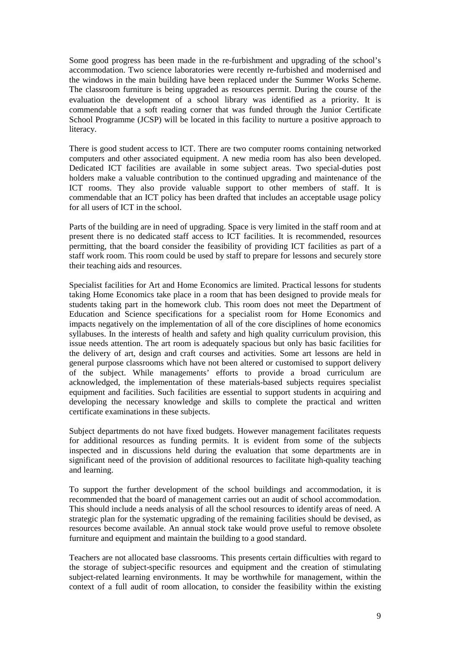Some good progress has been made in the re-furbishment and upgrading of the school's accommodation. Two science laboratories were recently re-furbished and modernised and the windows in the main building have been replaced under the Summer Works Scheme. The classroom furniture is being upgraded as resources permit. During the course of the evaluation the development of a school library was identified as a priority. It is commendable that a soft reading corner that was funded through the Junior Certificate School Programme (JCSP) will be located in this facility to nurture a positive approach to literacy.

There is good student access to ICT. There are two computer rooms containing networked computers and other associated equipment. A new media room has also been developed. Dedicated ICT facilities are available in some subject areas. Two special-duties post holders make a valuable contribution to the continued upgrading and maintenance of the ICT rooms. They also provide valuable support to other members of staff. It is commendable that an ICT policy has been drafted that includes an acceptable usage policy for all users of ICT in the school.

Parts of the building are in need of upgrading. Space is very limited in the staff room and at present there is no dedicated staff access to ICT facilities. It is recommended, resources permitting, that the board consider the feasibility of providing ICT facilities as part of a staff work room. This room could be used by staff to prepare for lessons and securely store their teaching aids and resources.

Specialist facilities for Art and Home Economics are limited. Practical lessons for students taking Home Economics take place in a room that has been designed to provide meals for students taking part in the homework club. This room does not meet the Department of Education and Science specifications for a specialist room for Home Economics and impacts negatively on the implementation of all of the core disciplines of home economics syllabuses. In the interests of health and safety and high quality curriculum provision, this issue needs attention. The art room is adequately spacious but only has basic facilities for the delivery of art, design and craft courses and activities. Some art lessons are held in general purpose classrooms which have not been altered or customised to support delivery of the subject. While managements' efforts to provide a broad curriculum are acknowledged, the implementation of these materials-based subjects requires specialist equipment and facilities. Such facilities are essential to support students in acquiring and developing the necessary knowledge and skills to complete the practical and written certificate examinations in these subjects.

Subject departments do not have fixed budgets. However management facilitates requests for additional resources as funding permits. It is evident from some of the subjects inspected and in discussions held during the evaluation that some departments are in significant need of the provision of additional resources to facilitate high-quality teaching and learning.

To support the further development of the school buildings and accommodation, it is recommended that the board of management carries out an audit of school accommodation. This should include a needs analysis of all the school resources to identify areas of need. A strategic plan for the systematic upgrading of the remaining facilities should be devised, as resources become available. An annual stock take would prove useful to remove obsolete furniture and equipment and maintain the building to a good standard.

Teachers are not allocated base classrooms. This presents certain difficulties with regard to the storage of subject-specific resources and equipment and the creation of stimulating subject-related learning environments. It may be worthwhile for management, within the context of a full audit of room allocation, to consider the feasibility within the existing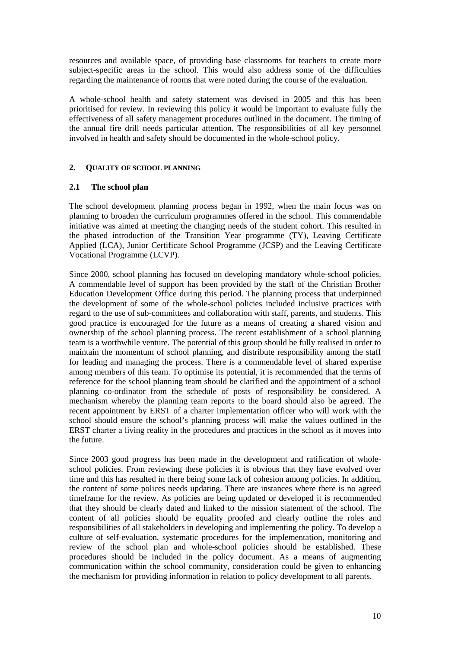resources and available space, of providing base classrooms for teachers to create more subject-specific areas in the school. This would also address some of the difficulties regarding the maintenance of rooms that were noted during the course of the evaluation.

A whole-school health and safety statement was devised in 2005 and this has been prioritised for review. In reviewing this policy it would be important to evaluate fully the effectiveness of all safety management procedures outlined in the document. The timing of the annual fire drill needs particular attention. The responsibilities of all key personnel involved in health and safety should be documented in the whole-school policy.

## **2. QUALITY OF SCHOOL PLANNING**

## **2.1 The school plan**

The school development planning process began in 1992, when the main focus was on planning to broaden the curriculum programmes offered in the school. This commendable initiative was aimed at meeting the changing needs of the student cohort. This resulted in the phased introduction of the Transition Year programme (TY), Leaving Certificate Applied (LCA), Junior Certificate School Programme (JCSP) and the Leaving Certificate Vocational Programme (LCVP).

Since 2000, school planning has focused on developing mandatory whole-school policies. A commendable level of support has been provided by the staff of the Christian Brother Education Development Office during this period. The planning process that underpinned the development of some of the whole-school policies included inclusive practices with regard to the use of sub-committees and collaboration with staff, parents, and students. This good practice is encouraged for the future as a means of creating a shared vision and ownership of the school planning process. The recent establishment of a school planning team is a worthwhile venture. The potential of this group should be fully realised in order to maintain the momentum of school planning, and distribute responsibility among the staff for leading and managing the process. There is a commendable level of shared expertise among members of this team. To optimise its potential, it is recommended that the terms of reference for the school planning team should be clarified and the appointment of a school planning co-ordinator from the schedule of posts of responsibility be considered. A mechanism whereby the planning team reports to the board should also be agreed. The recent appointment by ERST of a charter implementation officer who will work with the school should ensure the school's planning process will make the values outlined in the ERST charter a living reality in the procedures and practices in the school as it moves into the future.

Since 2003 good progress has been made in the development and ratification of wholeschool policies. From reviewing these policies it is obvious that they have evolved over time and this has resulted in there being some lack of cohesion among policies. In addition, the content of some polices needs updating. There are instances where there is no agreed timeframe for the review. As policies are being updated or developed it is recommended that they should be clearly dated and linked to the mission statement of the school. The content of all policies should be equality proofed and clearly outline the roles and responsibilities of all stakeholders in developing and implementing the policy. To develop a culture of self-evaluation, systematic procedures for the implementation, monitoring and review of the school plan and whole-school policies should be established. These procedures should be included in the policy document. As a means of augmenting communication within the school community, consideration could be given to enhancing the mechanism for providing information in relation to policy development to all parents.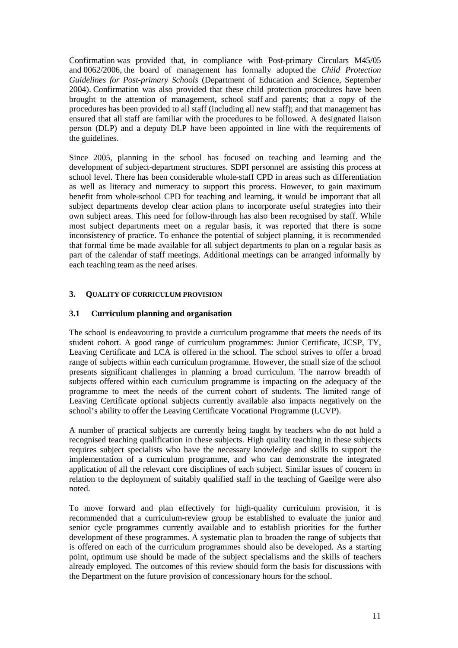Confirmation was provided that, in compliance with Post-primary Circulars M45/05 and 0062/2006, the board of management has formally adopted the *Child Protection Guidelines for Post-primary Schools* (Department of Education and Science, September 2004). Confirmation was also provided that these child protection procedures have been brought to the attention of management, school staff and parents; that a copy of the procedures has been provided to all staff (including all new staff); and that management has ensured that all staff are familiar with the procedures to be followed. A designated liaison person (DLP) and a deputy DLP have been appointed in line with the requirements of the guidelines.

Since 2005, planning in the school has focused on teaching and learning and the development of subject-department structures. SDPI personnel are assisting this process at school level. There has been considerable whole-staff CPD in areas such as differentiation as well as literacy and numeracy to support this process. However, to gain maximum benefit from whole-school CPD for teaching and learning, it would be important that all subject departments develop clear action plans to incorporate useful strategies into their own subject areas. This need for follow-through has also been recognised by staff. While most subject departments meet on a regular basis, it was reported that there is some inconsistency of practice. To enhance the potential of subject planning, it is recommended that formal time be made available for all subject departments to plan on a regular basis as part of the calendar of staff meetings. Additional meetings can be arranged informally by each teaching team as the need arises.

## **3. QUALITY OF CURRICULUM PROVISION**

## **3.1 Curriculum planning and organisation**

The school is endeavouring to provide a curriculum programme that meets the needs of its student cohort. A good range of curriculum programmes: Junior Certificate, JCSP, TY, Leaving Certificate and LCA is offered in the school. The school strives to offer a broad range of subjects within each curriculum programme. However, the small size of the school presents significant challenges in planning a broad curriculum. The narrow breadth of subjects offered within each curriculum programme is impacting on the adequacy of the programme to meet the needs of the current cohort of students. The limited range of Leaving Certificate optional subjects currently available also impacts negatively on the school's ability to offer the Leaving Certificate Vocational Programme (LCVP).

A number of practical subjects are currently being taught by teachers who do not hold a recognised teaching qualification in these subjects. High quality teaching in these subjects requires subject specialists who have the necessary knowledge and skills to support the implementation of a curriculum programme, and who can demonstrate the integrated application of all the relevant core disciplines of each subject. Similar issues of concern in relation to the deployment of suitably qualified staff in the teaching of Gaeilge were also noted.

To move forward and plan effectively for high-quality curriculum provision, it is recommended that a curriculum-review group be established to evaluate the junior and senior cycle programmes currently available and to establish priorities for the further development of these programmes. A systematic plan to broaden the range of subjects that is offered on each of the curriculum programmes should also be developed. As a starting point, optimum use should be made of the subject specialisms and the skills of teachers already employed. The outcomes of this review should form the basis for discussions with the Department on the future provision of concessionary hours for the school.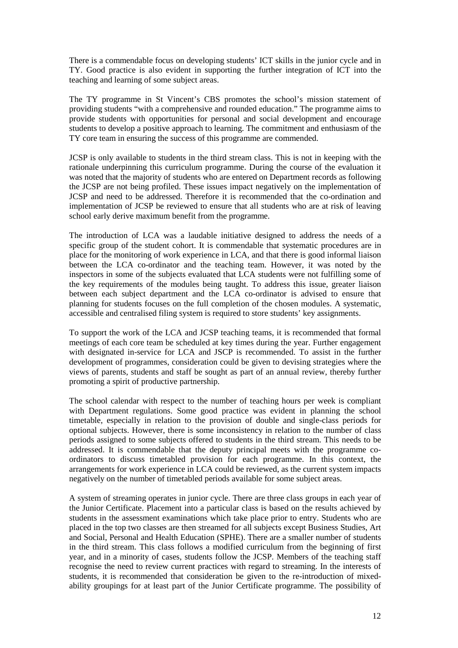There is a commendable focus on developing students' ICT skills in the junior cycle and in TY. Good practice is also evident in supporting the further integration of ICT into the teaching and learning of some subject areas.

The TY programme in St Vincent's CBS promotes the school's mission statement of providing students "with a comprehensive and rounded education." The programme aims to provide students with opportunities for personal and social development and encourage students to develop a positive approach to learning. The commitment and enthusiasm of the TY core team in ensuring the success of this programme are commended.

JCSP is only available to students in the third stream class. This is not in keeping with the rationale underpinning this curriculum programme. During the course of the evaluation it was noted that the majority of students who are entered on Department records as following the JCSP are not being profiled. These issues impact negatively on the implementation of JCSP and need to be addressed. Therefore it is recommended that the co-ordination and implementation of JCSP be reviewed to ensure that all students who are at risk of leaving school early derive maximum benefit from the programme.

The introduction of LCA was a laudable initiative designed to address the needs of a specific group of the student cohort. It is commendable that systematic procedures are in place for the monitoring of work experience in LCA, and that there is good informal liaison between the LCA co-ordinator and the teaching team. However, it was noted by the inspectors in some of the subjects evaluated that LCA students were not fulfilling some of the key requirements of the modules being taught. To address this issue, greater liaison between each subject department and the LCA co-ordinator is advised to ensure that planning for students focuses on the full completion of the chosen modules. A systematic, accessible and centralised filing system is required to store students' key assignments.

To support the work of the LCA and JCSP teaching teams, it is recommended that formal meetings of each core team be scheduled at key times during the year. Further engagement with designated in-service for LCA and JSCP is recommended. To assist in the further development of programmes, consideration could be given to devising strategies where the views of parents, students and staff be sought as part of an annual review, thereby further promoting a spirit of productive partnership.

The school calendar with respect to the number of teaching hours per week is compliant with Department regulations. Some good practice was evident in planning the school timetable, especially in relation to the provision of double and single-class periods for optional subjects. However, there is some inconsistency in relation to the number of class periods assigned to some subjects offered to students in the third stream. This needs to be addressed. It is commendable that the deputy principal meets with the programme coordinators to discuss timetabled provision for each programme. In this context, the arrangements for work experience in LCA could be reviewed, as the current system impacts negatively on the number of timetabled periods available for some subject areas.

A system of streaming operates in junior cycle. There are three class groups in each year of the Junior Certificate. Placement into a particular class is based on the results achieved by students in the assessment examinations which take place prior to entry. Students who are placed in the top two classes are then streamed for all subjects except Business Studies, Art and Social, Personal and Health Education (SPHE). There are a smaller number of students in the third stream. This class follows a modified curriculum from the beginning of first year, and in a minority of cases, students follow the JCSP. Members of the teaching staff recognise the need to review current practices with regard to streaming. In the interests of students, it is recommended that consideration be given to the re-introduction of mixedability groupings for at least part of the Junior Certificate programme. The possibility of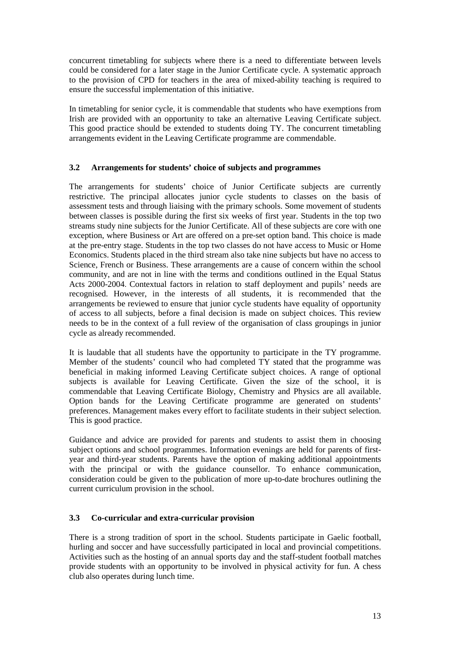concurrent timetabling for subjects where there is a need to differentiate between levels could be considered for a later stage in the Junior Certificate cycle. A systematic approach to the provision of CPD for teachers in the area of mixed-ability teaching is required to ensure the successful implementation of this initiative.

In timetabling for senior cycle, it is commendable that students who have exemptions from Irish are provided with an opportunity to take an alternative Leaving Certificate subject. This good practice should be extended to students doing TY. The concurrent timetabling arrangements evident in the Leaving Certificate programme are commendable.

## **3.2 Arrangements for students' choice of subjects and programmes**

The arrangements for students' choice of Junior Certificate subjects are currently restrictive. The principal allocates junior cycle students to classes on the basis of assessment tests and through liaising with the primary schools. Some movement of students between classes is possible during the first six weeks of first year. Students in the top two streams study nine subjects for the Junior Certificate. All of these subjects are core with one exception, where Business or Art are offered on a pre-set option band. This choice is made at the pre-entry stage. Students in the top two classes do not have access to Music or Home Economics. Students placed in the third stream also take nine subjects but have no access to Science, French or Business. These arrangements are a cause of concern within the school community, and are not in line with the terms and conditions outlined in the Equal Status Acts 2000-2004. Contextual factors in relation to staff deployment and pupils' needs are recognised. However, in the interests of all students, it is recommended that the arrangements be reviewed to ensure that junior cycle students have equality of opportunity of access to all subjects, before a final decision is made on subject choices. This review needs to be in the context of a full review of the organisation of class groupings in junior cycle as already recommended.

It is laudable that all students have the opportunity to participate in the TY programme. Member of the students' council who had completed TY stated that the programme was beneficial in making informed Leaving Certificate subject choices. A range of optional subjects is available for Leaving Certificate. Given the size of the school, it is commendable that Leaving Certificate Biology, Chemistry and Physics are all available. Option bands for the Leaving Certificate programme are generated on students' preferences. Management makes every effort to facilitate students in their subject selection. This is good practice.

Guidance and advice are provided for parents and students to assist them in choosing subject options and school programmes. Information evenings are held for parents of firstyear and third-year students. Parents have the option of making additional appointments with the principal or with the guidance counsellor. To enhance communication, consideration could be given to the publication of more up-to-date brochures outlining the current curriculum provision in the school.

## **3.3 Co-curricular and extra-curricular provision**

There is a strong tradition of sport in the school. Students participate in Gaelic football, hurling and soccer and have successfully participated in local and provincial competitions. Activities such as the hosting of an annual sports day and the staff-student football matches provide students with an opportunity to be involved in physical activity for fun. A chess club also operates during lunch time.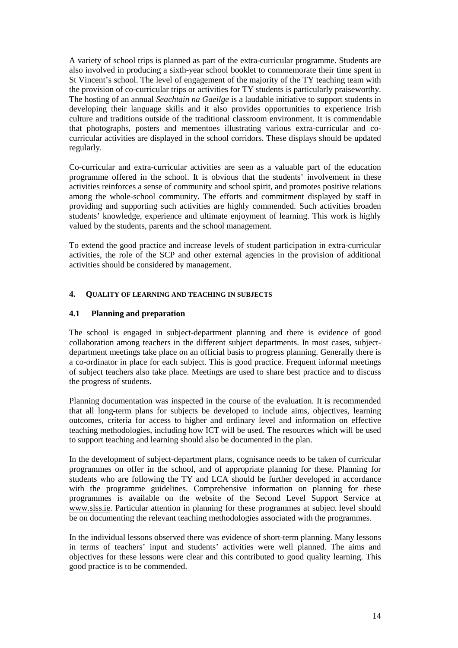A variety of school trips is planned as part of the extra-curricular programme. Students are also involved in producing a sixth-year school booklet to commemorate their time spent in St Vincent's school. The level of engagement of the majority of the TY teaching team with the provision of co-curricular trips or activities for TY students is particularly praiseworthy. The hosting of an annual *Seachtain na Gaeilge* is a laudable initiative to support students in developing their language skills and it also provides opportunities to experience Irish culture and traditions outside of the traditional classroom environment. It is commendable that photographs, posters and mementoes illustrating various extra-curricular and cocurricular activities are displayed in the school corridors. These displays should be updated regularly.

Co-curricular and extra-curricular activities are seen as a valuable part of the education programme offered in the school. It is obvious that the students' involvement in these activities reinforces a sense of community and school spirit, and promotes positive relations among the whole-school community. The efforts and commitment displayed by staff in providing and supporting such activities are highly commended. Such activities broaden students' knowledge, experience and ultimate enjoyment of learning. This work is highly valued by the students, parents and the school management.

To extend the good practice and increase levels of student participation in extra-curricular activities, the role of the SCP and other external agencies in the provision of additional activities should be considered by management.

## **4. QUALITY OF LEARNING AND TEACHING IN SUBJECTS**

## **4.1 Planning and preparation**

The school is engaged in subject-department planning and there is evidence of good collaboration among teachers in the different subject departments. In most cases, subjectdepartment meetings take place on an official basis to progress planning. Generally there is a co-ordinator in place for each subject. This is good practice. Frequent informal meetings of subject teachers also take place. Meetings are used to share best practice and to discuss the progress of students.

Planning documentation was inspected in the course of the evaluation. It is recommended that all long-term plans for subjects be developed to include aims, objectives, learning outcomes, criteria for access to higher and ordinary level and information on effective teaching methodologies, including how ICT will be used. The resources which will be used to support teaching and learning should also be documented in the plan.

In the development of subject-department plans, cognisance needs to be taken of curricular programmes on offer in the school, and of appropriate planning for these. Planning for students who are following the TY and LCA should be further developed in accordance with the programme guidelines. Comprehensive information on planning for these programmes is available on the website of the Second Level Support Service at www.slss.ie. Particular attention in planning for these programmes at subject level should be on documenting the relevant teaching methodologies associated with the programmes.

In the individual lessons observed there was evidence of short-term planning. Many lessons in terms of teachers' input and students' activities were well planned. The aims and objectives for these lessons were clear and this contributed to good quality learning. This good practice is to be commended.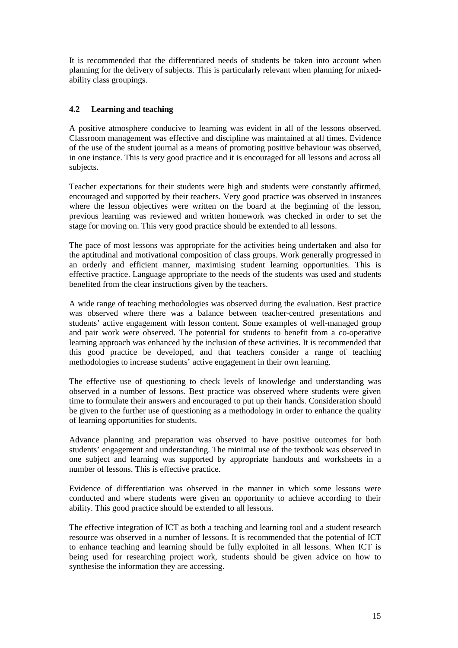It is recommended that the differentiated needs of students be taken into account when planning for the delivery of subjects. This is particularly relevant when planning for mixedability class groupings.

## **4.2 Learning and teaching**

A positive atmosphere conducive to learning was evident in all of the lessons observed. Classroom management was effective and discipline was maintained at all times. Evidence of the use of the student journal as a means of promoting positive behaviour was observed, in one instance. This is very good practice and it is encouraged for all lessons and across all subjects.

Teacher expectations for their students were high and students were constantly affirmed, encouraged and supported by their teachers. Very good practice was observed in instances where the lesson objectives were written on the board at the beginning of the lesson, previous learning was reviewed and written homework was checked in order to set the stage for moving on. This very good practice should be extended to all lessons.

The pace of most lessons was appropriate for the activities being undertaken and also for the aptitudinal and motivational composition of class groups. Work generally progressed in an orderly and efficient manner, maximising student learning opportunities. This is effective practice. Language appropriate to the needs of the students was used and students benefited from the clear instructions given by the teachers.

A wide range of teaching methodologies was observed during the evaluation. Best practice was observed where there was a balance between teacher-centred presentations and students' active engagement with lesson content. Some examples of well-managed group and pair work were observed. The potential for students to benefit from a co-operative learning approach was enhanced by the inclusion of these activities. It is recommended that this good practice be developed, and that teachers consider a range of teaching methodologies to increase students' active engagement in their own learning.

The effective use of questioning to check levels of knowledge and understanding was observed in a number of lessons. Best practice was observed where students were given time to formulate their answers and encouraged to put up their hands. Consideration should be given to the further use of questioning as a methodology in order to enhance the quality of learning opportunities for students.

Advance planning and preparation was observed to have positive outcomes for both students' engagement and understanding. The minimal use of the textbook was observed in one subject and learning was supported by appropriate handouts and worksheets in a number of lessons. This is effective practice.

Evidence of differentiation was observed in the manner in which some lessons were conducted and where students were given an opportunity to achieve according to their ability. This good practice should be extended to all lessons.

The effective integration of ICT as both a teaching and learning tool and a student research resource was observed in a number of lessons. It is recommended that the potential of ICT to enhance teaching and learning should be fully exploited in all lessons. When ICT is being used for researching project work, students should be given advice on how to synthesise the information they are accessing.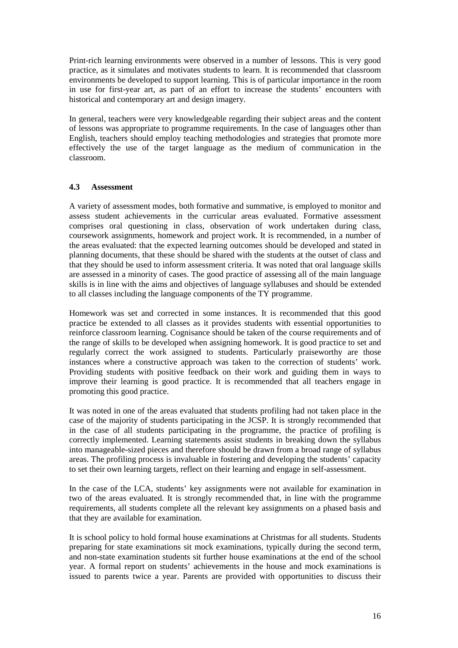Print-rich learning environments were observed in a number of lessons. This is very good practice, as it simulates and motivates students to learn. It is recommended that classroom environments be developed to support learning. This is of particular importance in the room in use for first-year art, as part of an effort to increase the students' encounters with historical and contemporary art and design imagery.

In general, teachers were very knowledgeable regarding their subject areas and the content of lessons was appropriate to programme requirements. In the case of languages other than English, teachers should employ teaching methodologies and strategies that promote more effectively the use of the target language as the medium of communication in the classroom.

## **4.3 Assessment**

A variety of assessment modes, both formative and summative, is employed to monitor and assess student achievements in the curricular areas evaluated. Formative assessment comprises oral questioning in class, observation of work undertaken during class, coursework assignments, homework and project work. It is recommended, in a number of the areas evaluated: that the expected learning outcomes should be developed and stated in planning documents, that these should be shared with the students at the outset of class and that they should be used to inform assessment criteria. It was noted that oral language skills are assessed in a minority of cases. The good practice of assessing all of the main language skills is in line with the aims and objectives of language syllabuses and should be extended to all classes including the language components of the TY programme.

Homework was set and corrected in some instances. It is recommended that this good practice be extended to all classes as it provides students with essential opportunities to reinforce classroom learning. Cognisance should be taken of the course requirements and of the range of skills to be developed when assigning homework. It is good practice to set and regularly correct the work assigned to students. Particularly praiseworthy are those instances where a constructive approach was taken to the correction of students' work. Providing students with positive feedback on their work and guiding them in ways to improve their learning is good practice. It is recommended that all teachers engage in promoting this good practice.

It was noted in one of the areas evaluated that students profiling had not taken place in the case of the majority of students participating in the JCSP. It is strongly recommended that in the case of all students participating in the programme, the practice of profiling is correctly implemented. Learning statements assist students in breaking down the syllabus into manageable-sized pieces and therefore should be drawn from a broad range of syllabus areas. The profiling process is invaluable in fostering and developing the students' capacity to set their own learning targets, reflect on their learning and engage in self-assessment.

In the case of the LCA, students' key assignments were not available for examination in two of the areas evaluated. It is strongly recommended that, in line with the programme requirements, all students complete all the relevant key assignments on a phased basis and that they are available for examination.

It is school policy to hold formal house examinations at Christmas for all students. Students preparing for state examinations sit mock examinations, typically during the second term, and non-state examination students sit further house examinations at the end of the school year. A formal report on students' achievements in the house and mock examinations is issued to parents twice a year. Parents are provided with opportunities to discuss their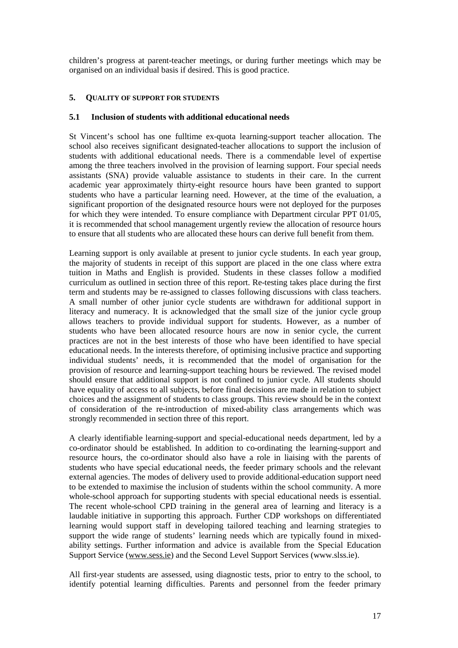children's progress at parent-teacher meetings, or during further meetings which may be organised on an individual basis if desired. This is good practice.

## **5. QUALITY OF SUPPORT FOR STUDENTS**

#### **5.1 Inclusion of students with additional educational needs**

St Vincent's school has one fulltime ex-quota learning-support teacher allocation. The school also receives significant designated-teacher allocations to support the inclusion of students with additional educational needs. There is a commendable level of expertise among the three teachers involved in the provision of learning support. Four special needs assistants (SNA) provide valuable assistance to students in their care. In the current academic year approximately thirty-eight resource hours have been granted to support students who have a particular learning need. However, at the time of the evaluation, a significant proportion of the designated resource hours were not deployed for the purposes for which they were intended. To ensure compliance with Department circular PPT 01/05, it is recommended that school management urgently review the allocation of resource hours to ensure that all students who are allocated these hours can derive full benefit from them.

Learning support is only available at present to junior cycle students. In each year group, the majority of students in receipt of this support are placed in the one class where extra tuition in Maths and English is provided. Students in these classes follow a modified curriculum as outlined in section three of this report. Re-testing takes place during the first term and students may be re-assigned to classes following discussions with class teachers. A small number of other junior cycle students are withdrawn for additional support in literacy and numeracy. It is acknowledged that the small size of the junior cycle group allows teachers to provide individual support for students. However, as a number of students who have been allocated resource hours are now in senior cycle, the current practices are not in the best interests of those who have been identified to have special educational needs. In the interests therefore, of optimising inclusive practice and supporting individual students' needs, it is recommended that the model of organisation for the provision of resource and learning-support teaching hours be reviewed. The revised model should ensure that additional support is not confined to junior cycle. All students should have equality of access to all subjects, before final decisions are made in relation to subject choices and the assignment of students to class groups. This review should be in the context of consideration of the re-introduction of mixed-ability class arrangements which was strongly recommended in section three of this report.

A clearly identifiable learning-support and special-educational needs department, led by a co-ordinator should be established. In addition to co-ordinating the learning-support and resource hours, the co-ordinator should also have a role in liaising with the parents of students who have special educational needs, the feeder primary schools and the relevant external agencies. The modes of delivery used to provide additional-education support need to be extended to maximise the inclusion of students within the school community. A more whole-school approach for supporting students with special educational needs is essential. The recent whole-school CPD training in the general area of learning and literacy is a laudable initiative in supporting this approach. Further CDP workshops on differentiated learning would support staff in developing tailored teaching and learning strategies to support the wide range of students' learning needs which are typically found in mixedability settings. Further information and advice is available from the Special Education Support Service (www.sess.ie) and the Second Level Support Services (www.slss.ie).

All first-year students are assessed, using diagnostic tests, prior to entry to the school, to identify potential learning difficulties. Parents and personnel from the feeder primary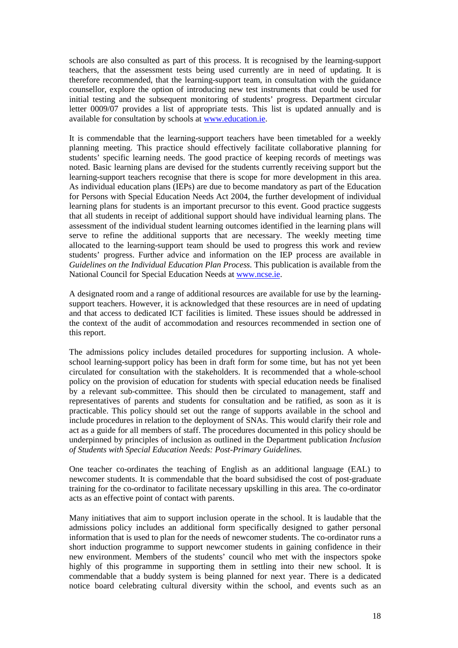schools are also consulted as part of this process. It is recognised by the learning-support teachers, that the assessment tests being used currently are in need of updating. It is therefore recommended, that the learning-support team, in consultation with the guidance counsellor, explore the option of introducing new test instruments that could be used for initial testing and the subsequent monitoring of students' progress. Department circular letter 0009/07 provides a list of appropriate tests. This list is updated annually and is available for consultation by schools at www.education.ie.

It is commendable that the learning-support teachers have been timetabled for a weekly planning meeting. This practice should effectively facilitate collaborative planning for students' specific learning needs. The good practice of keeping records of meetings was noted. Basic learning plans are devised for the students currently receiving support but the learning-support teachers recognise that there is scope for more development in this area. As individual education plans (IEPs) are due to become mandatory as part of the Education for Persons with Special Education Needs Act 2004, the further development of individual learning plans for students is an important precursor to this event. Good practice suggests that all students in receipt of additional support should have individual learning plans. The assessment of the individual student learning outcomes identified in the learning plans will serve to refine the additional supports that are necessary. The weekly meeting time allocated to the learning-support team should be used to progress this work and review students' progress. Further advice and information on the IEP process are available in *Guidelines on the Individual Education Plan Process.* This publication is available from the National Council for Special Education Needs at www.ncse.ie.

A designated room and a range of additional resources are available for use by the learningsupport teachers. However, it is acknowledged that these resources are in need of updating and that access to dedicated ICT facilities is limited. These issues should be addressed in the context of the audit of accommodation and resources recommended in section one of this report.

The admissions policy includes detailed procedures for supporting inclusion. A wholeschool learning-support policy has been in draft form for some time, but has not yet been circulated for consultation with the stakeholders. It is recommended that a whole-school policy on the provision of education for students with special education needs be finalised by a relevant sub-committee. This should then be circulated to management, staff and representatives of parents and students for consultation and be ratified, as soon as it is practicable. This policy should set out the range of supports available in the school and include procedures in relation to the deployment of SNAs. This would clarify their role and act as a guide for all members of staff. The procedures documented in this policy should be underpinned by principles of inclusion as outlined in the Department publication *Inclusion of Students with Special Education Needs: Post-Primary Guidelines.*

One teacher co-ordinates the teaching of English as an additional language (EAL) to newcomer students. It is commendable that the board subsidised the cost of post-graduate training for the co-ordinator to facilitate necessary upskilling in this area. The co-ordinator acts as an effective point of contact with parents.

Many initiatives that aim to support inclusion operate in the school. It is laudable that the admissions policy includes an additional form specifically designed to gather personal information that is used to plan for the needs of newcomer students. The co-ordinator runs a short induction programme to support newcomer students in gaining confidence in their new environment. Members of the students' council who met with the inspectors spoke highly of this programme in supporting them in settling into their new school. It is commendable that a buddy system is being planned for next year. There is a dedicated notice board celebrating cultural diversity within the school, and events such as an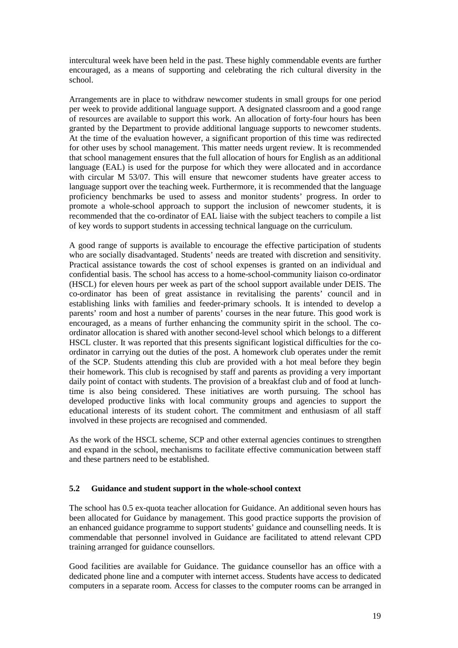intercultural week have been held in the past. These highly commendable events are further encouraged, as a means of supporting and celebrating the rich cultural diversity in the school.

Arrangements are in place to withdraw newcomer students in small groups for one period per week to provide additional language support. A designated classroom and a good range of resources are available to support this work. An allocation of forty-four hours has been granted by the Department to provide additional language supports to newcomer students. At the time of the evaluation however, a significant proportion of this time was redirected for other uses by school management. This matter needs urgent review. It is recommended that school management ensures that the full allocation of hours for English as an additional language (EAL) is used for the purpose for which they were allocated and in accordance with circular M 53/07. This will ensure that newcomer students have greater access to language support over the teaching week. Furthermore, it is recommended that the language proficiency benchmarks be used to assess and monitor students' progress. In order to promote a whole-school approach to support the inclusion of newcomer students, it is recommended that the co-ordinator of EAL liaise with the subject teachers to compile a list of key words to support students in accessing technical language on the curriculum.

A good range of supports is available to encourage the effective participation of students who are socially disadvantaged. Students' needs are treated with discretion and sensitivity. Practical assistance towards the cost of school expenses is granted on an individual and confidential basis. The school has access to a home-school-community liaison co-ordinator (HSCL) for eleven hours per week as part of the school support available under DEIS. The co-ordinator has been of great assistance in revitalising the parents' council and in establishing links with families and feeder-primary schools. It is intended to develop a parents' room and host a number of parents' courses in the near future. This good work is encouraged, as a means of further enhancing the community spirit in the school. The coordinator allocation is shared with another second-level school which belongs to a different HSCL cluster. It was reported that this presents significant logistical difficulties for the coordinator in carrying out the duties of the post. A homework club operates under the remit of the SCP. Students attending this club are provided with a hot meal before they begin their homework. This club is recognised by staff and parents as providing a very important daily point of contact with students. The provision of a breakfast club and of food at lunchtime is also being considered. These initiatives are worth pursuing. The school has developed productive links with local community groups and agencies to support the educational interests of its student cohort. The commitment and enthusiasm of all staff involved in these projects are recognised and commended.

As the work of the HSCL scheme, SCP and other external agencies continues to strengthen and expand in the school, mechanisms to facilitate effective communication between staff and these partners need to be established.

#### **5.2 Guidance and student support in the whole-school context**

The school has 0.5 ex-quota teacher allocation for Guidance. An additional seven hours has been allocated for Guidance by management. This good practice supports the provision of an enhanced guidance programme to support students' guidance and counselling needs. It is commendable that personnel involved in Guidance are facilitated to attend relevant CPD training arranged for guidance counsellors.

Good facilities are available for Guidance. The guidance counsellor has an office with a dedicated phone line and a computer with internet access. Students have access to dedicated computers in a separate room. Access for classes to the computer rooms can be arranged in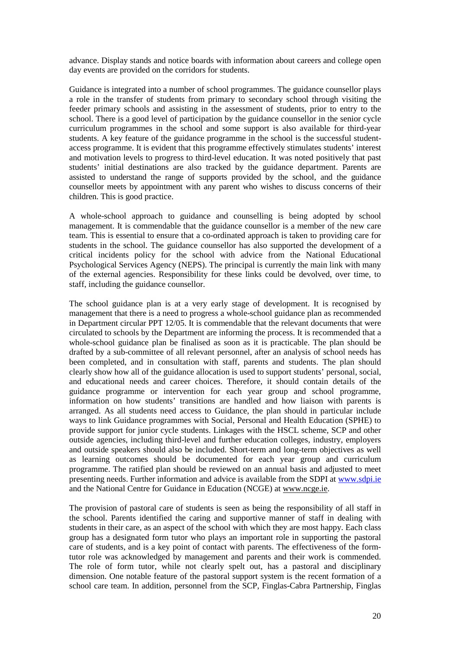advance. Display stands and notice boards with information about careers and college open day events are provided on the corridors for students.

Guidance is integrated into a number of school programmes. The guidance counsellor plays a role in the transfer of students from primary to secondary school through visiting the feeder primary schools and assisting in the assessment of students, prior to entry to the school. There is a good level of participation by the guidance counsellor in the senior cycle curriculum programmes in the school and some support is also available for third-year students. A key feature of the guidance programme in the school is the successful studentaccess programme. It is evident that this programme effectively stimulates students' interest and motivation levels to progress to third-level education. It was noted positively that past students' initial destinations are also tracked by the guidance department. Parents are assisted to understand the range of supports provided by the school, and the guidance counsellor meets by appointment with any parent who wishes to discuss concerns of their children. This is good practice.

A whole-school approach to guidance and counselling is being adopted by school management. It is commendable that the guidance counsellor is a member of the new care team. This is essential to ensure that a co-ordinated approach is taken to providing care for students in the school. The guidance counsellor has also supported the development of a critical incidents policy for the school with advice from the National Educational Psychological Services Agency (NEPS). The principal is currently the main link with many of the external agencies. Responsibility for these links could be devolved, over time, to staff, including the guidance counsellor.

The school guidance plan is at a very early stage of development. It is recognised by management that there is a need to progress a whole-school guidance plan as recommended in Department circular PPT 12/05. It is commendable that the relevant documents that were circulated to schools by the Department are informing the process. It is recommended that a whole-school guidance plan be finalised as soon as it is practicable. The plan should be drafted by a sub-committee of all relevant personnel, after an analysis of school needs has been completed, and in consultation with staff, parents and students. The plan should clearly show how all of the guidance allocation is used to support students' personal, social, and educational needs and career choices. Therefore, it should contain details of the guidance programme or intervention for each year group and school programme, information on how students' transitions are handled and how liaison with parents is arranged. As all students need access to Guidance, the plan should in particular include ways to link Guidance programmes with Social, Personal and Health Education (SPHE) to provide support for junior cycle students. Linkages with the HSCL scheme, SCP and other outside agencies, including third-level and further education colleges, industry, employers and outside speakers should also be included. Short-term and long-term objectives as well as learning outcomes should be documented for each year group and curriculum programme. The ratified plan should be reviewed on an annual basis and adjusted to meet presenting needs. Further information and advice is available from the SDPI at www.sdpi.ie and the National Centre for Guidance in Education (NCGE) at www.ncge.ie.

The provision of pastoral care of students is seen as being the responsibility of all staff in the school. Parents identified the caring and supportive manner of staff in dealing with students in their care, as an aspect of the school with which they are most happy. Each class group has a designated form tutor who plays an important role in supporting the pastoral care of students, and is a key point of contact with parents. The effectiveness of the formtutor role was acknowledged by management and parents and their work is commended. The role of form tutor, while not clearly spelt out, has a pastoral and disciplinary dimension. One notable feature of the pastoral support system is the recent formation of a school care team. In addition, personnel from the SCP, Finglas-Cabra Partnership, Finglas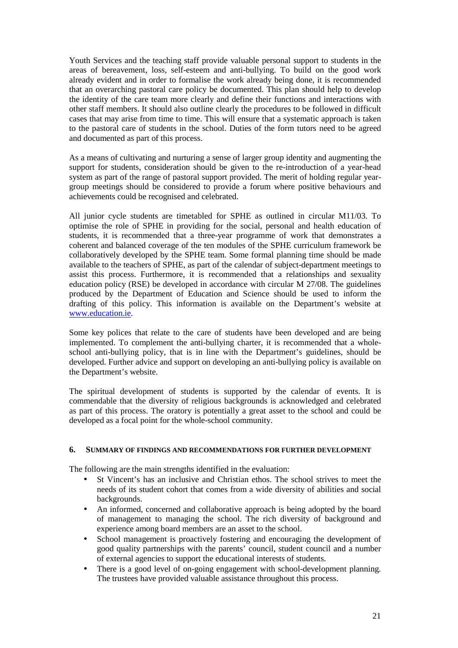Youth Services and the teaching staff provide valuable personal support to students in the areas of bereavement, loss, self-esteem and anti-bullying. To build on the good work already evident and in order to formalise the work already being done, it is recommended that an overarching pastoral care policy be documented. This plan should help to develop the identity of the care team more clearly and define their functions and interactions with other staff members. It should also outline clearly the procedures to be followed in difficult cases that may arise from time to time. This will ensure that a systematic approach is taken to the pastoral care of students in the school. Duties of the form tutors need to be agreed and documented as part of this process.

As a means of cultivating and nurturing a sense of larger group identity and augmenting the support for students, consideration should be given to the re-introduction of a year-head system as part of the range of pastoral support provided. The merit of holding regular yeargroup meetings should be considered to provide a forum where positive behaviours and achievements could be recognised and celebrated.

All junior cycle students are timetabled for SPHE as outlined in circular M11/03. To optimise the role of SPHE in providing for the social, personal and health education of students, it is recommended that a three-year programme of work that demonstrates a coherent and balanced coverage of the ten modules of the SPHE curriculum framework be collaboratively developed by the SPHE team. Some formal planning time should be made available to the teachers of SPHE, as part of the calendar of subject-department meetings to assist this process. Furthermore, it is recommended that a relationships and sexuality education policy (RSE) be developed in accordance with circular M 27/08. The guidelines produced by the Department of Education and Science should be used to inform the drafting of this policy. This information is available on the Department's website at www.education.ie.

Some key polices that relate to the care of students have been developed and are being implemented. To complement the anti-bullying charter, it is recommended that a wholeschool anti-bullying policy, that is in line with the Department's guidelines, should be developed. Further advice and support on developing an anti-bullying policy is available on the Department's website.

The spiritual development of students is supported by the calendar of events. It is commendable that the diversity of religious backgrounds is acknowledged and celebrated as part of this process. The oratory is potentially a great asset to the school and could be developed as a focal point for the whole-school community.

#### **6. SUMMARY OF FINDINGS AND RECOMMENDATIONS FOR FURTHER DEVELOPMENT**

The following are the main strengths identified in the evaluation:

- St Vincent's has an inclusive and Christian ethos. The school strives to meet the needs of its student cohort that comes from a wide diversity of abilities and social backgrounds.
- An informed, concerned and collaborative approach is being adopted by the board of management to managing the school. The rich diversity of background and experience among board members are an asset to the school.
- School management is proactively fostering and encouraging the development of good quality partnerships with the parents' council, student council and a number of external agencies to support the educational interests of students.
- There is a good level of on-going engagement with school-development planning. The trustees have provided valuable assistance throughout this process.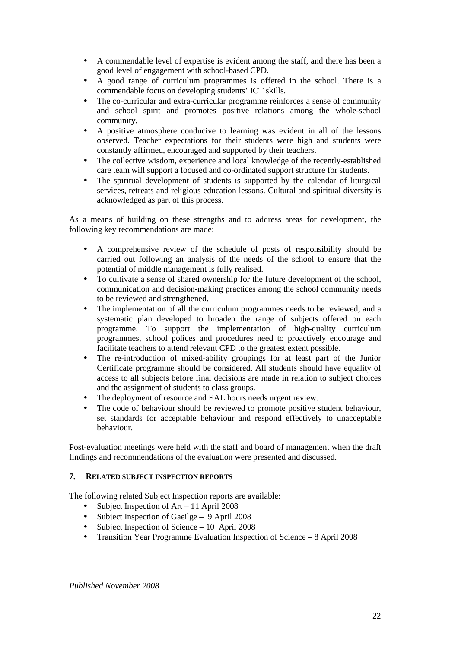- A commendable level of expertise is evident among the staff, and there has been a good level of engagement with school-based CPD.
- A good range of curriculum programmes is offered in the school. There is a commendable focus on developing students' ICT skills.
- The co-curricular and extra-curricular programme reinforces a sense of community and school spirit and promotes positive relations among the whole-school community.
- A positive atmosphere conducive to learning was evident in all of the lessons observed. Teacher expectations for their students were high and students were constantly affirmed, encouraged and supported by their teachers.
- The collective wisdom, experience and local knowledge of the recently-established care team will support a focused and co-ordinated support structure for students.
- The spiritual development of students is supported by the calendar of liturgical services, retreats and religious education lessons. Cultural and spiritual diversity is acknowledged as part of this process.

As a means of building on these strengths and to address areas for development, the following key recommendations are made:

- A comprehensive review of the schedule of posts of responsibility should be carried out following an analysis of the needs of the school to ensure that the potential of middle management is fully realised.
- To cultivate a sense of shared ownership for the future development of the school, communication and decision-making practices among the school community needs to be reviewed and strengthened.
- The implementation of all the curriculum programmes needs to be reviewed, and a systematic plan developed to broaden the range of subjects offered on each programme. To support the implementation of high-quality curriculum programmes, school polices and procedures need to proactively encourage and facilitate teachers to attend relevant CPD to the greatest extent possible.
- The re-introduction of mixed-ability groupings for at least part of the Junior Certificate programme should be considered. All students should have equality of access to all subjects before final decisions are made in relation to subject choices and the assignment of students to class groups.
- The deployment of resource and EAL hours needs urgent review.
- The code of behaviour should be reviewed to promote positive student behaviour, set standards for acceptable behaviour and respond effectively to unacceptable behaviour.

Post-evaluation meetings were held with the staff and board of management when the draft findings and recommendations of the evaluation were presented and discussed.

## **7. RELATED SUBJECT INSPECTION REPORTS**

The following related Subject Inspection reports are available:

- Subject Inspection of Art 11 April 2008
- Subject Inspection of Gaeilge 9 April 2008
- Subject Inspection of Science 10 April 2008
- Transition Year Programme Evaluation Inspection of Science 8 April 2008